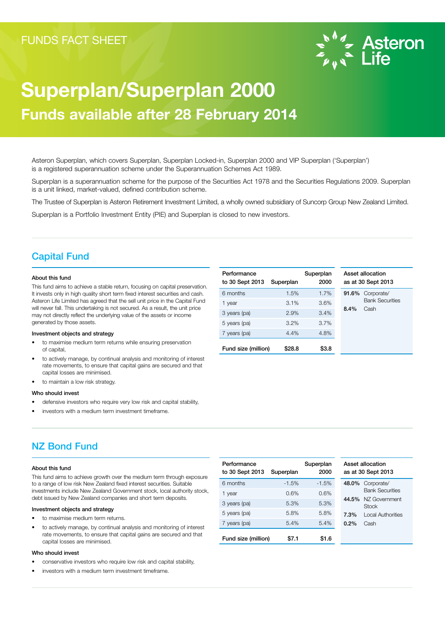

# Superplan/Superplan 2000 Funds available after 28 February 2014

Asteron Superplan, which covers Superplan, Superplan Locked-in, Superplan 2000 and VIP Superplan ('Superplan') is a registered superannuation scheme under the Superannuation Schemes Act 1989.

Superplan is a superannuation scheme for the purpose of the Securities Act 1978 and the Securities Regulations 2009. Superplan is a unit linked, market-valued, defined contribution scheme.

The Trustee of Superplan is Asteron Retirement Investment Limited, a wholly owned subsidiary of Suncorp Group New Zealand Limited.

Superplan is a Portfolio Investment Entity (PIE) and Superplan is closed to new investors.

## Capital Fund

#### About this fund

This fund aims to achieve a stable return, focusing on capital preservation. It invests only in high quality short term fixed interest securities and cash. Asteron Life Limited has agreed that the sell unit price in the Capital Fund will never fall. This undertaking is not secured. As a result, the unit price may not directly reflect the underlying value of the assets or income generated by those assets.

### Investment objects and strategy

- to maximise medium term returns while ensuring preservation of capital,
- to actively manage, by continual analysis and monitoring of interest rate movements, to ensure that capital gains are secured and that capital losses are minimised.
- to maintain a low risk strategy.

#### Who should invest

- defensive investors who require very low risk and capital stability,
- investors with a medium term investment timeframe.

#### **Performance** to 30 Sept 2013 Superplan Superplan 2000 Asset allocation as at 30 Sept 2013 6 months 1.5% 1.7% 91.6% Corporate/ Bank Securities 8.4% Cash 1 year 3.1% 3.6% 3 years (pa) 2.9% 3.4% 5 years (pa) 3.2% 3.7% 7 years (pa) 4.4% 4.8% Fund size (million) \$28.8 \$3.8

# NZ Bond Fund

### About this fund

This fund aims to achieve growth over the medium term through exposure to a range of low risk New Zealand fixed interest securities. Suitable investments include New Zealand Government stock, local authority stock, debt issued by New Zealand companies and short term deposits.

### Investment objects and strategy

- to maximise medium term returns.
- to actively manage, by continual analysis and monitoring of interest rate movements, to ensure that capital gains are secured and that capital losses are minimised.

### Who should invest

- conservative investors who require low risk and capital stability,
- investors with a medium term investment timeframe.

| Performance<br>to 30 Sept 2013 | Superplan | Superplan<br>2000 |       | Asset allocation<br>as at 30 Sept 2013 |
|--------------------------------|-----------|-------------------|-------|----------------------------------------|
| 6 months                       | $-1.5%$   | $-1.5%$           | 48.0% | Corporate/                             |
| 1 year                         | 0.6%      | 0.6%              |       | <b>Bank Securities</b>                 |
| 3 years (pa)                   | 5.3%      | 5.3%              | 44.5% | NZ Government<br>Stock                 |
| 5 years (pa)                   | 5.8%      | 5.8%              | 7.3%  | <b>Local Authorities</b>               |
| 7 years (pa)                   | 5.4%      | 5.4%              | 0.2%  | Cash                                   |
| Fund size (million)            | \$7.1     | \$1.6             |       |                                        |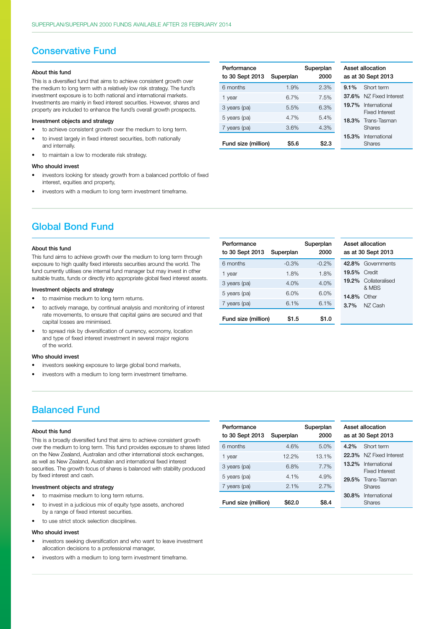### Conservative Fund

#### About this fund

This is a diversified fund that aims to achieve consistent growth over the medium to long term with a relatively low risk strategy. The fund's investment exposure is to both national and international markets. Investments are mainly in fixed interest securities. However, shares and property are included to enhance the fund's overall growth prospects.

#### Investment objects and strategy

- to achieve consistent growth over the medium to long term.
- to invest largely in fixed interest securities, both nationally and internally.
- to maintain a low to moderate risk strategy.

### Who should invest

- investors looking for steady growth from a balanced portfolio of fixed interest, equities and property,
- investors with a medium to long term investment timeframe.

| Performance<br>to 30 Sept 2013 | Superplan | Superplan<br>2000 |         | Asset allocation<br>as at 30 Sept 201   |
|--------------------------------|-----------|-------------------|---------|-----------------------------------------|
| 6 months                       | 1.9%      | 2.3%              | $9.1\%$ | Short term                              |
| 1 year                         | 6.7%      | 7.5%              |         | <b>37.6%</b> NZ Fixed li                |
| 3 years (pa)                   | 5.5%      | 6.3%              |         | 19.7% Internation<br><b>Fixed Inter</b> |
| 5 years (pa)                   | 4.7%      | 5.4%              |         | 18.3% Trans-Tasn                        |
| 7 years (pa)                   | 3.6%      | 4.3%              |         | <b>Shares</b>                           |
| Fund size (million)            | \$5.6     | \$2.3             | 15.3%   | Internation<br><b>Shares</b>            |

Performance

to 30 Sept 2013 Superplan

6 months -0.3% -0.2%

1 year 1.8% 1.8% 3 years (pa) 4.0% 4.0% 5 years (pa) 6.0% 6.0% 7 years (pa) 6.1% 6.1% Fund size (million) \$1.5 \$1.0

| Asset allocation<br>as at 30 Sept 2013 |                                        |  |  |  |
|----------------------------------------|----------------------------------------|--|--|--|
| $9.1\%$                                | Short term                             |  |  |  |
| 37.6%                                  | N7 Fixed Interest                      |  |  |  |
| 19.7%                                  | International<br><b>Fixed Interest</b> |  |  |  |
| 18.3%                                  | Trans-Tasman<br>Shares                 |  |  |  |
| 15.3%                                  | International<br>Shares                |  |  |  |

# Global Bond Fund

#### About this fund

This fund aims to achieve growth over the medium to long term through exposure to high quality fixed interests securities around the world. The fund currently utilises one internal fund manager but may invest in other suitable trusts, funds or directly into appropriate global fixed interest assets.

#### Investment objects and strategy

- to maximise medium to long term returns.
- to actively manage, by continual analysis and monitoring of interest rate movements, to ensure that capital gains are secured and that capital losses are minimised.
- to spread risk by diversification of currency, economy, location and type of fixed interest investment in several major regions of the world.

#### Who should invest

- investors seeking exposure to large global bond markets,
- investors with a medium to long term investment timeframe.

# Balanced Fund

### About this fund

This is a broadly diversified fund that aims to achieve consistent growth over the medium to long term. This fund provides exposure to shares listed on the New Zealand, Australian and other international stock exchanges, as well as New Zealand, Australian and international fixed interest securities. The growth focus of shares is balanced with stability produced by fixed interest and cash.

### Investment objects and strategy

- to maximise medium to long term returns.
- to invest in a judicious mix of equity type assets, anchored by a range of fixed interest securities.
- to use strict stock selection disciplines.

#### Who should invest

- investors seeking diversification and who want to leave investment allocation decisions to a professional manager
- investors with a medium to long term investment timeframe.

| Performance<br>to 30 Sept 2013 | Superplan | Superplan<br>2000 |         | Asset allocation<br>as at 30 Sept 201 |
|--------------------------------|-----------|-------------------|---------|---------------------------------------|
| 6 months                       | 4.6%      | 5.0%              | $4.2\%$ | Short term                            |
| 1 year                         | 12.2%     | 13.1%             | 22.3%   | NZ Fixed I                            |
| 3 years (pa)                   | 6.8%      | 7.7%              | 13.2%   | Internation<br><b>Fixed Inter</b>     |
| 5 years (pa)                   | 4.1%      | 4.9%              | 29.5%   | Trans-Tasr                            |
| 7 years (pa)                   | 2.1%      | 2.7%              |         | <b>Shares</b>                         |
| Fund size (million)            | \$62.0    | \$8.4             | 30.8%   | Internation<br><b>Shares</b>          |

| Asset allocation<br>as at 30 Sept 2013 |                                      |  |  |  |
|----------------------------------------|--------------------------------------|--|--|--|
|                                        | 42.8% Governments                    |  |  |  |
| <b>19.5% Credit</b>                    |                                      |  |  |  |
|                                        | <b>19.2%</b> Collateralised<br>& MBS |  |  |  |
| <b>14.8% Other</b>                     |                                      |  |  |  |
|                                        | <b>3.7%</b> NZ Cash                  |  |  |  |

Superplan 2000

| Asset allocation<br>as at 30 Sept 2013 |                                        |  |  |
|----------------------------------------|----------------------------------------|--|--|
| $4.2\%$                                | Short term                             |  |  |
| 22.3%                                  | N7 Fixed Interest                      |  |  |
| $13.2\%$                               | International<br><b>Fixed Interest</b> |  |  |
| 29.5%                                  | Trans-Tasman<br>Shares                 |  |  |
|                                        | 30.8% International<br>Shares          |  |  |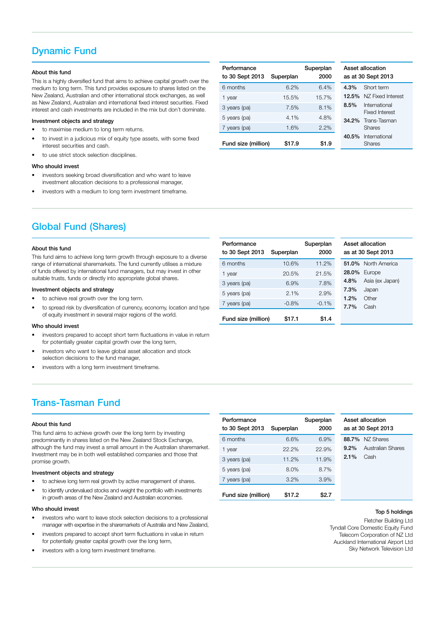# Dynamic Fund

### About this fund

This is a highly diversified fund that aims to achieve capital growth over the medium to long term. This fund provides exposure to shares listed on the New Zealand, Australian and other international stock exchanges, as well as New Zealand, Australian and international fixed interest securities. Fixed interest and cash investments are included in the mix but don't dominate.

### Investment objects and strategy

- to maximise medium to long term returns.
- to invest in a judicious mix of equity type assets, with some fixed interest securities and cash.
- to use strict stock selection disciplines.

### Who should invest

- investors seeking broad diversification and who want to leave investment allocation decisions to a professional manager,
- investors with a medium to long term investment timeframe.

| Performance<br>to 30 Sept 2013 | Superplan | Superplan<br>2000 |         | Asset allocation<br>as at 30 Sept 201 |
|--------------------------------|-----------|-------------------|---------|---------------------------------------|
| 6 months                       | 6.2%      | 6.4%              | $4.3\%$ | Short term                            |
| 1 year                         | 15.5%     | 15.7%             | 12.5%   | NZ Fixed I                            |
| 3 years (pa)                   | 7.5%      | 8.1%              | 8.5%    | Internation<br><b>Fixed Inter</b>     |
| 5 years (pa)                   | 4.1%      | 4.8%              |         | 34.2% Trans-Tasn                      |
| 7 years (pa)                   | 1.6%      | 2.2%              |         | <b>Shares</b>                         |
| Fund size (million)            | \$17.9    | \$1.9             | 40.5%   | Internation<br><b>Shares</b>          |
|                                |           |                   |         |                                       |

| Asset allocation<br>as at 30 Sept 2013 |                                        |  |  |
|----------------------------------------|----------------------------------------|--|--|
| 4.3%                                   | Short term                             |  |  |
|                                        | 12.5% N7 Fixed Interest                |  |  |
| 8.5%                                   | International<br><b>Fixed Interest</b> |  |  |
| 34.2%                                  | Trans-Tasman<br>Shares                 |  |  |
|                                        | 40.5% International<br>Shares          |  |  |

# Global Fund (Shares)

### About this fund

This fund aims to achieve long term growth through exposure to a diverse range of international sharemarkets. The fund currently utilises a mixture of funds offered by international fund managers, but may invest in other suitable trusts, funds or directly into appropriate global shares.

### Investment objects and strategy

- to achieve real growth over the long term.
- to spread risk by diversification of currency, economy, location and type of equity investment in several major regions of the world.

#### Who should invest

- investors prepared to accept short term fluctuations in value in return for potentially greater capital growth over the long term,
- investors who want to leave global asset allocation and stock selection decisions to the fund manager,
- investors with a long term investment timeframe.

# Trans-Tasman Fund

#### About this fund

This fund aims to achieve growth over the long term by investing predominantly in shares listed on the New Zealand Stock Exchange, although the fund may invest a small amount in the Australian sharemarket. Investment may be in both well established companies and those that promise growth.

#### Investment objects and strategy

- to achieve long term real growth by active management of shares.
- to identify undervalued stocks and weight the portfolio with investments in growth areas of the New Zealand and Australian economies.

#### Who should invest

- investors who want to leave stock selection decisions to a professional manager with expertise in the sharemarkets of Australia and New Zealand,
- investors prepared to accept short term fluctuations in value in return for potentially greater capital growth over the long term,
- investors with a long term investment timeframe.

| Performance<br>to 30 Sept 2013 | Superplan | Superplan<br>2000 |         | Asset allocation<br>as at 30 Sept 20 |
|--------------------------------|-----------|-------------------|---------|--------------------------------------|
| 6 months                       | 6.6%      | 6.9%              | 88.7%   | NZ Shares                            |
| 1 year                         | 22.2%     | 22.9%             | $9.2\%$ | Australian                           |
| 3 years (pa)                   | 11.2%     | 11.9%             | 2.1%    | Cash                                 |
| 5 years (pa)                   | 8.0%      | 8.7%              |         |                                      |
| 7 years (pa)                   | 3.2%      | 3.9%              |         |                                      |
| Fund size (million)            | \$17.2    | \$2.7             |         |                                      |

| Asset allocation<br>as at 30 Sept 2013 |                        |  |  |  |
|----------------------------------------|------------------------|--|--|--|
|                                        | 88.7% NZ Shares        |  |  |  |
|                                        | 9.2% Australian Shares |  |  |  |
| $2.1\%$ Cash                           |                        |  |  |  |
|                                        |                        |  |  |  |
|                                        |                        |  |  |  |
|                                        |                        |  |  |  |

#### Top 5 holdings

Fletcher Building Ltd Tyndall Core Domestic Equity Fund Telecom Corporation of NZ Ltd Auckland International Airport Ltd Sky Network Television Ltd

| Performance<br>to 30 Sept 2013 | Superplan | Superplan<br>2000 | Asset allocation<br>as at 30 Sept 2013 |
|--------------------------------|-----------|-------------------|----------------------------------------|
| 6 months                       | 10.6%     | 11.2%             | 51.0% North America                    |
| 1 year                         | 20.5%     | 21.5%             | 28.0%<br>Europe                        |
| 3 years (pa)                   | 6.9%      | 7.8%              | $4.8\%$<br>Asia (ex Japan)             |
| 5 years (pa)                   | 2.1%      | 2.9%              | 7.3%<br>Japan                          |
| 7 years (pa)                   | $-0.8%$   | $-0.1%$           | 1.2%<br>Other<br>7.7%<br>Cash          |
| Fund size (million)            | \$17.1    | \$1.4             |                                        |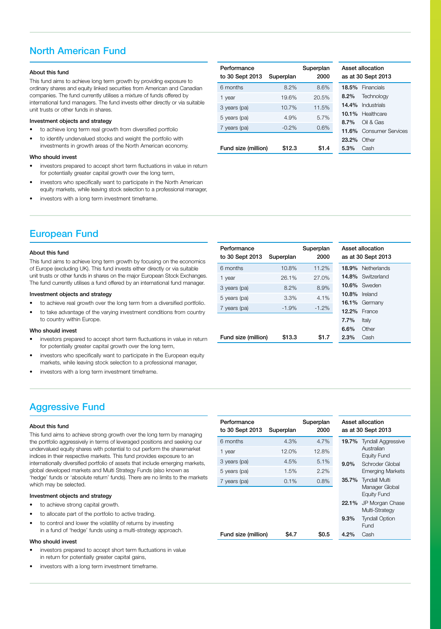# North American Fund

### About this fund

This fund aims to achieve long term growth by providing exposure to ordinary shares and equity linked securities from American and Canadian companies. The fund currently utilises a mixture of funds offered by international fund managers. The fund invests either directly or via suitable unit trusts or other funds in shares.

### Investment objects and strategy

- to achieve long term real growth from diversified portfolio
- to identify undervalued stocks and weight the portfolio with investments in growth areas of the North American economy.

#### Who should invest

- investors prepared to accept short term fluctuations in value in return for potentially greater capital growth over the long term,
- investors who specifically want to participate in the North American equity markets, while leaving stock selection to a professional manager,
- investors with a long term investment timeframe.

| Performance<br>to 30 Sept 2013 | Superplan | Superplan<br>2000 |         | Asset allocation<br>as at 30 Sept 20 |
|--------------------------------|-----------|-------------------|---------|--------------------------------------|
| 6 months                       | 8.2%      | 8.6%              |         | 18.5% Financials                     |
| 1 year                         | 19.6%     | 20.5%             | $8.2\%$ | Technolog                            |
| 3 years (pa)                   | 10.7%     | 11.5%             |         | 14.4% Industrials                    |
| 5 years (pa)                   | 4.9%      | 5.7%              |         | 10.1% Healthcar                      |
| 7 years (pa)                   | $-0.2%$   | 0.6%              | $8.7\%$ | Oil & Gas                            |
|                                |           |                   | 11.6%   | Consume                              |
|                                |           |                   | 23.2%   | Other                                |
| Fund size (million)            | \$12.3    | \$1.4             | $5.3\%$ | Cash                                 |

| Asset allocation<br>as at 30 Sept 2013 |                          |  |  |  |
|----------------------------------------|--------------------------|--|--|--|
|                                        | 18.5% Financials         |  |  |  |
|                                        | 8.2% Technology          |  |  |  |
|                                        | <b>14.4%</b> Industrials |  |  |  |
|                                        | 10.1% Healthcare         |  |  |  |
| 8.7%                                   | Oil & Gas                |  |  |  |
| 11.6%                                  | <b>Consumer Services</b> |  |  |  |
| 23.2%                                  | Other                    |  |  |  |
| 5.3%                                   | Cash                     |  |  |  |

# European Fund

#### About this fund

This fund aims to achieve long term growth by focusing on the economics of Europe (excluding UK). This fund invests either directly or via suitable unit trusts or other funds in shares on the major European Stock Exchanges. The fund currently utilises a fund offered by an international fund manager.

#### Investment objects and strategy

- to achieve real growth over the long term from a diversified portfolio.
- to take advantage of the varying investment conditions from country to country within Europe.

#### Who should invest

- investors prepared to accept short term fluctuations in value in return for potentially greater capital growth over the long term,
- investors who specifically want to participate in the European equity markets, while leaving stock selection to a professional manager,
- investors with a long term investment timeframe.

# Aggressive Fund

#### About this fund

This fund aims to achieve strong growth over the long term by managing the portfolio aggressively in terms of leveraged positions and seeking our undervalued equity shares with potential to out perform the sharemarket indices in their respective markets. This fund provides exposure to an internationally diversified portfolio of assets that include emerging markets, global developed markets and Multi Strategy Funds (also known as 'hedge' funds or 'absolute return' funds). There are no limits to the markets which may be selected.

### Investment objects and strategy

- to achieve strong capital growth.
- to allocate part of the portfolio to active trading.
- to control and lower the volatility of returns by investing in a fund of 'hedge' funds using a multi-strategy approach.

#### Who should invest

- investors prepared to accept short term fluctuations in value in return for potentially greater capital gains,
- investors with a long term investment timeframe.

| Performance<br>to 30 Sept 2013 | Superplan | Superplan<br>2000 |
|--------------------------------|-----------|-------------------|
| 6 months                       | 10.8%     | 11.2%             |
| 1 year                         | 26.1%     | 27.0%             |
| 3 years (pa)                   | 8.2%      | 8.9%              |
| 5 years (pa)                   | 3.3%      | 4.1%              |
| 7 years (pa)                   | $-1.9%$   | $-1.2\%$          |
|                                |           |                   |
|                                |           |                   |
|                                |           |                   |
| Fund size (million)            | \$13.3    | S1.7              |

| Performance<br>to 30 Sept 2013 | Superplan | Superplan<br>2000 |         | Asset allocation<br>as at 30 Sept 2013 |  |
|--------------------------------|-----------|-------------------|---------|----------------------------------------|--|
| 6 months                       | 4.3%      | 4.7%              | 19.7%   | <b>Tyndall Aggressive</b>              |  |
| 1 year                         | 12.0%     | 12.8%             |         | Australian<br>Equity Fund              |  |
| 3 years (pa)                   | 4.5%      | 5.1%              | $9.0\%$ | Schroder Global                        |  |
| 5 years (pa)                   | 1.5%      | 2.2%              |         | <b>Emerging Markets</b>                |  |
| 7 years (pa)                   | 0.1%      | 0.8%              | 35.7%   | <b>Tyndall Multi</b>                   |  |
|                                |           |                   |         | Manager Global<br><b>Equity Fund</b>   |  |
|                                |           |                   | 22.1%   | JP Morgan Chase<br>Multi-Strategy      |  |
|                                |           |                   | $9.3\%$ | <b>Tyndall Option</b>                  |  |
|                                |           |                   |         | Fund                                   |  |
| Fund size (million)            | \$4.7     | \$0.5             | $4.2\%$ | Cash                                   |  |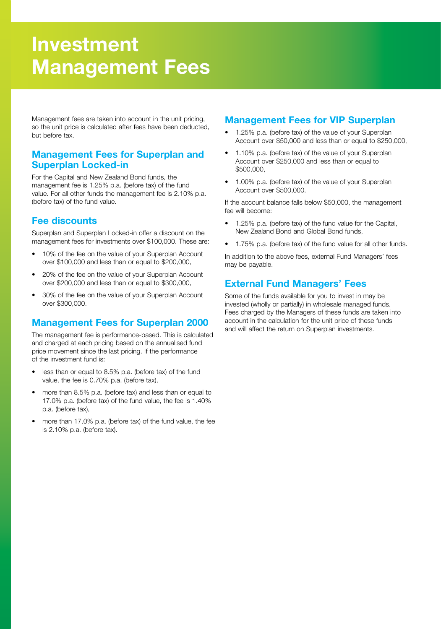# Investment Management Fees

Management fees are taken into account in the unit pricing, so the unit price is calculated after fees have been deducted, but before tax.

### Management Fees for Superplan and Superplan Locked-in

For the Capital and New Zealand Bond funds, the management fee is 1.25% p.a. (before tax) of the fund value. For all other funds the management fee is 2.10% p.a. (before tax) of the fund value.

## Fee discounts

Superplan and Superplan Locked-in offer a discount on the management fees for investments over \$100,000. These are:

- 10% of the fee on the value of your Superplan Account over \$100,000 and less than or equal to \$200,000,
- 20% of the fee on the value of your Superplan Account over \$200,000 and less than or equal to \$300,000,
- 30% of the fee on the value of your Superplan Account over \$300,000.

# Management Fees for Superplan 2000

The management fee is performance-based. This is calculated and charged at each pricing based on the annualised fund price movement since the last pricing. If the performance of the investment fund is:

- less than or equal to 8.5% p.a. (before tax) of the fund value, the fee is 0.70% p.a. (before tax),
- more than 8.5% p.a. (before tax) and less than or equal to 17.0% p.a. (before tax) of the fund value, the fee is 1.40% p.a. (before tax),
- more than 17.0% p.a. (before tax) of the fund value, the fee is 2.10% p.a. (before tax).

# Management Fees for VIP Superplan

- 1.25% p.a. (before tax) of the value of your Superplan Account over \$50,000 and less than or equal to \$250,000,
- 1.10% p.a. (before tax) of the value of your Superplan Account over \$250,000 and less than or equal to \$500,000,
- 1.00% p.a. (before tax) of the value of your Superplan Account over \$500,000.

If the account balance falls below \$50,000, the management fee will become:

- 1.25% p.a. (before tax) of the fund value for the Capital, New Zealand Bond and Global Bond funds,
- 1.75% p.a. (before tax) of the fund value for all other funds.

In addition to the above fees, external Fund Managers' fees may be payable.

# External Fund Managers' Fees

Some of the funds available for you to invest in may be invested (wholly or partially) in wholesale managed funds. Fees charged by the Managers of these funds are taken into account in the calculation for the unit price of these funds and will affect the return on Superplan investments.